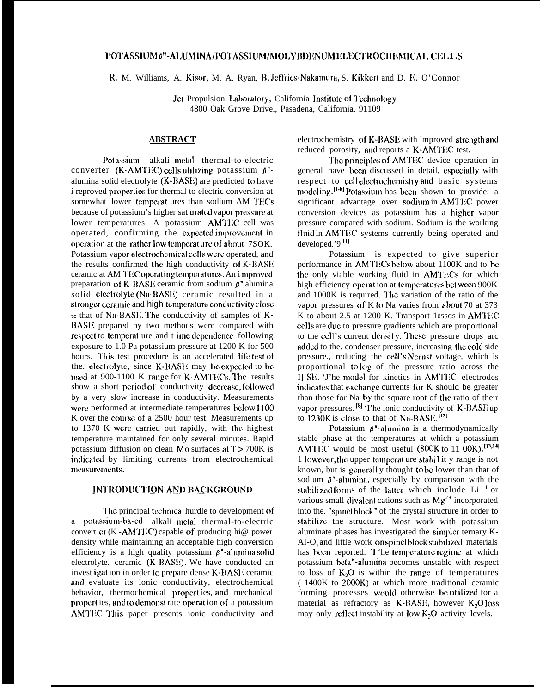# POTASSIUM B"-ALUMINA/POTASSIUM/MOLYBDENUMELECTROCHEMICAI, CEL1 S

R. M. Williams, A. Kisor, M. A. Ryan, B. Jeffries-Nakamura, S. Kikkert and D. F. O'Connor

Jet Propulsion Laboratory, California Institute of Technology 4800 Oak Grove Drive., Pasadena, California, 91109

# **ABSTRACT**

Potassium alkali metal thermal-to-electric converter (K-AMTEC) cells utilizing potassium  $\beta$ "alumina solid electrolyte (K-BASE) are predicted to have i reproved properties for thermal to electric conversion at somewhat lower temperat ures than sodium AM TECs because of potassium's higher sat urated vapor pressure at lower temperatures. A potassium AMTEC cell was operated, confirming the expected improvement in operation at the rather low temperature of about 7SOK. Potassium vapor electrochemical cells were operated, and the results confirmed the high conductivity of K-BASE ceramic at AM TEC operating temperatures. An i mproved preparation of K-BASE ceramic from sodium  $\beta$ <sup>"</sup> alumina solid electrolyte (Na-BASE) ceramic resulted in a stronger ceramic and high temperature conductivity close to that of Na-BASE. The conductivity of samples of K-BASE prepared by two methods were compared with respect to temperat ure and t ime dependence following exposure to 1.0 Pa potassium pressure at 1200 K for 500 hours. This test procedure is an accelerated life test of the. electrolyte, since K-BASH may be expected to be used at 900-1100 K range for K-AMTECs. The results show a short period of conductivity decrease, followed by a very slow increase in conductivity. Measurements were performed at intermediate temperatures below 1100 K over the course of a 2500 hour test. Measurements up to 1370 K were carried out rapidly, with the highest temperature maintained for only several minutes. Rapid potassium diffusion on clean Mo surfaces at  $T > 700K$  is indicated by limiting currents from electrochemical measurements.

#### **INTRODUCTION AND BACKGROUND**

The principal technical hurdle to development of a potassium-based alkali metal thermal-to-electric convert  $er(K - AMTEC)$  capable of producing hi $@$  power density while maintaining an acceptable high conversion efficiency is a high quality potassium  $\beta$ "-alumina solid electrolyte. ceramic (K-BASE). We have conducted an invest igat ion in order to prepare dense K-BASI: ceramic and evaluate its ionic conductivity, electrochemical behavior, thermochemical properties, and mechanical propert ies, and to demonst rate operation of a potassium AMTEC. This paper presents ionic conductivity and

electrochemistry of K-BASE with improved strength and reduced porosity, and reports a K-AMTEC test.

The principles of AMTEC device operation in general have been discussed in detail, especially with respect to cell electrochemistry and basic systems modeling.<sup>[1-8]</sup> Potassium has been shown to provide. a significant advantage over sodium in AMTEC power conversion devices as potassium has a higher vapor pressure compared with sodium. Sodium is the working fluid in AMTEC systems currently being operated and developed.'9<sup>11]</sup>

Potassium is expected to give superior performance in AMTECs below about 1100K and to be the only viable working fluid in AMTECs for which high efficiency operation at temperatures bet ween 900K and 1000K is required. The variation of the ratio of the vapor pressures of K to Na varies from about 70 at 373 K to about 2.5 at 1200 K. Transport 10sscs in AMTEC cells are due to pressure gradients which are proportional to the cell's current density. These pressure drops arc added to the. condenser pressure, increasing the cold side pressure., reducing the cell's Nernst voltage, which is proportional to log of the pressure ratio across the Il SE. The model for kinetics in AMTEC electrodes indicates that exchange currents for K should be greater than those for Na by the square root of the ratio of their vapor pressures.<sup>[8]</sup> 'I'he ionic conductivity of **K-BASE** up to 1230K is close to that of Na-BASE.<sup>[12]</sup>

Potassium  $\beta^*$ -alumina is a thermodynamically stable phase at the temperatures at which a potassium AMTEC would be most useful (800K to 11 00K).<sup>[13,14]</sup> 1 lowever, the upper temperature stabil it y range is not known, but is generally thought to be lower than that of sodium  $\beta$ <sup>\*</sup>-alumina, especially by comparison with the stabilized forms of the latter which include Li<sup>+</sup> or various small divalent cations such as  $Mg^{2+}$  incorporated into the. "spinelblock" of the crystal structure in order to stabilize the structure. Most work with potassium aluminate phases has investigated the simpler ternary K-Al-O<sub>s</sub> and little work on spinelblock stabilized materials has been reported. I 'he temperature regime at which potassium beta"-alumina becomes unstable with respect to loss of  $K_2O$  is within the range of temperatures (1400K to 2000K) at which more traditional ceramic forming processes would otherwise be utilized for a material as refractory as K-BASE, however K<sub>2</sub>Oloss may only reflect instability at low  $K_2O$  activity levels.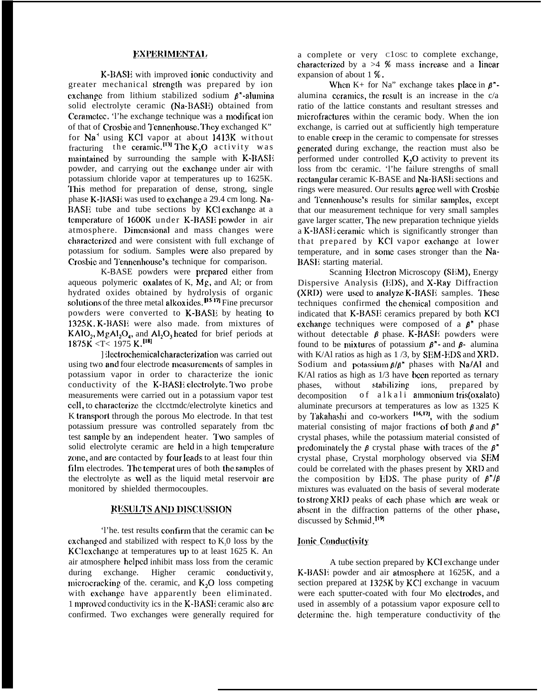## **EXPERIMENTAL**

K-BASE with improved ionic conductivity and greater mechanical strength was prepared by ion exchange from lithium stabilized sodium  $\beta$ "-alumina solid electrolyte ceramic (Na-BASE) obtained from Cerametec. 'l'he exchange technique was a modificat ion of that of Crosbie and Tennenhouse. They exchanged K" for Na' using KC1 vapor at about 1413K without fracturing the ceramic.<sup>[13]</sup> The K<sub>2</sub>O activity was maintained by surrounding the sample with K-BASE powder, and carrying out the cxchangc under air with potassium chloride vapor at temperatures up to 1625K. This method for preparation of dense, strong, single phase K-BASE was used to excbangc a 29.4 cm long. Na-RASE tube and tube sections by KU cxchangc at a temperature of 1600K under K-BASE powder in air atmosphere. Dimensional and mass changes were characterized and were consistent with full exchange of potassium for sodium. Samples were also prepared by Crosbie and Tennenhouse's technique for comparison.

K-BASE powders were prepared either from aqueous polymeric oxalates of K, Mg, and Al; or from hydrated oxides obtained by hydrolysis of organic solutions of the three metal alkoxides.  $\mu$ <sup>517</sup> Fine precursor powders were converted to K-BASE by heating to 132SK. K-BASIi were also made. from mixtures of  $KAIO<sub>2</sub>, MgAI<sub>2</sub>O<sub>4</sub>$ , and  $AI<sub>2</sub>O<sub>3</sub>$  heated for brief periods at 1875K <T< 1975 K.[181

1 (lectrochemical characterization was carried out using two and four electrode measurements of samples in potassium vapor in order to characterize the ionic conductivity of the K-BASE electrolyte. Two probe measurements were carried out in a potassium vapor test cell, to characterize the clcctmdc/electrolyte kinetics and K transport through the porous Mo electrode. In that test potassium pressure was controlled separately from tbc test sample by an independent heater. Two samples of solid electrolyte ceramic are held in a high temperature zone, and are contacted by four leads to at least four thin film electrodes. The temperat ures of both the samples of the electrolyte as well as the liquid metal reservoir are monitored by shielded thermocouples.

## **RESULTS AND DISCUSSION**

'l'he. test results confirm that the ceramic can be. exchanged and stabilized with respect to  $K<sub>0</sub>$  loss by the KClexchange at temperatures up to at least 1625 K. An air atmosphere helped inhibit mass loss from the ceramic during exchange. Higher ceramic conductivity, microcracking of the. ceramic, and  $K_2O$  loss competing with exchange have apparently been eliminated. 1 mproved conductivity ics in the K-BASI: ceramic also are confirmed. Two exchanges were generally required for

a complete or very <sup>C</sup>1OSC to complete exchange, characterized by a  $>4$  % mass increase and a linear expansion of about 1 %.

When K+ for Na" exchange takes place in  $\beta$ "alumina ceramics, the result is an increase in the  $c/a$ ratio of the lattice constants and resultant stresses and microfractures within the ceramic body. When the ion exchange, is carried out at sufficiently high temperature to enable creep in the ceramic to compensate for stresses generated during exchange, the reaction must also be performed under controlled  $K<sub>2</sub>O$  activity to prevent its loss from tbc ceramic. 'l'he failure strengths of small rectangular ceramic K-BASE and Na-BASE sections and rings were measured. Our results agree well with Crosbie and Tennenhouse's results for similar samples, except that our measurement technique for very small samples gave larger scatter, I'hc new preparation technique yields a K-BASI: ceramic which is significantly stronger than that prepared by KCI vapor exchange at lower temperature, and in some cases stronger than the Na-BASE starting material.

Scanning Electron Microscopy (SEM), Energy Dispersive Analysis (EDS), and  $X$ -Ray Diffraction  $(XRD)$  were used to analyze  $K-BASE$  samples. These techniques confirmed the chemical composition and indicated that K-BASE ceramics prepared by both KC] exchange techniques were composed of a  $\beta$ <sup>\*</sup> phase without detectable  $\beta$  phase. K-BASE powders were found to be mixtures of potassium  $\beta$ <sup>\*</sup>- and  $\beta$ - alumina with K/Al ratios as high as 1/3, by **SEM-EDS** and **XRD**. Sodium and potassium  $\beta/\beta$ " phases with Na/Al and K/Al ratios as high as  $1/3$  have been reported as ternary phases, without stabilizing ions, prepared by  $decomposition$  of alkali ammonium tris(oxalato) aluminate precursors at temperatures as low as 1325 K by Takahashi and co-workers <sup>[16,17</sup>], with the sodium material consisting of major fractions of both  $\beta$  and  $\beta$ " crystal phases, while the potassium material consisted of predominately the  $\beta$  crystal phase with traces of the  $\beta$ <sup>\*</sup> crystal phase, Crystal morphology observed via SEM could be correlated with the phases present by XRD and the composition by EDS. The phase purity of  $\beta''/\beta$ mixtures was evaluated on the basis of several moderate to strong  $XRD$  peaks of each phase which are weak or abscmt in the diffraction patterns of the other phase, discussed by Schmid.<sup>[19]</sup>

# **Ionic Conductivity**

A tube section prepared by KCI exchange under K-BASI<sup>i</sup> powder and air atmosphere at 1625K, and a section prepared at 1325K by KCI exchange in vacuum were each sputter-coated with four Mo electrodes, and used in assembly of a potassium vapor exposure cell to determine the. high temperature conductivity of the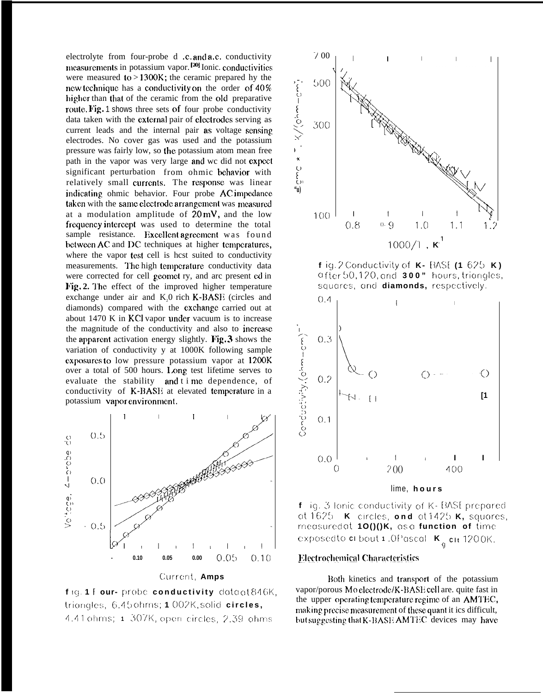electrolyte from four-probe d .c. and a.c. conductivity measurements in potassium vapor.  $[20]$  Ionic. conductivities were measured to > 1300K; the ceramic prepared hy the new technique has a conductivity on the order of  $40\%$ higher than that of the ceramic from the old preparative route. Fig. 1 shows three sets of four probe conductivity data taken with the external pair of electrodes serving as current leads and the internal pair as voltage sensing electrodes. No cover gas was used and the potassium pressure was fairly low, so the potassium atom mean free path in the vapor was very large and wc did not expect significant perturbation from ohmic behavior with relatively small currents. The response was linear indicating ohmic behavior. Four probe AC impedance taken with the same electrode arrangement was measured at a modulation amplitude of  $20 \text{ mV}$ , and the low frequency intercept was used to determine the total sample resistance. Excellent agreement was found bctween AC and DC techniques at higher temperatures, where the vapor test cell is hcst suited to conductivity measurements. The high temperature conductivity data were corrected for cell geomet ry, and arc present ed in Fig. 2. The effect of the improved higher temperature exchange under air and  $K<sub>2</sub>0$  rich  $K-BASE$  (circles and diamonds) compared with the cxchangc carried out at about  $1470$  K in KCl vapor under vacuum is to increase the magnitude of the conductivity and also to incrcasc the apparent activation energy slightly. Fig.  $3$  shows the variation of conductivity y at 1000K following sample exposures to low pressure potassium vapor at 1200K over a total of 500 hours. Long test lifetime serves to evaluate the stability and t i mc dependence, of conductivity of K-BASE at elevated temperature in a potassium vapor environment.



**Curreni, Amps**





**f ig. 2 Cc)nductivity c)f K- [VISE (1 625 K ) c] fter 50, 1?(), and 300" hours, tricjngles,** squares, and **diamonds**, respectively.



lime, **hour s**

**f** iq. 3 lonic conductivity of K-BASE prepared **0( 162:) K ,(Ircles, ond cIt 142E> K, squores, rncosurcd at 1O()()K, CIS CI function of tirnc C! XPOS(!C to Cl bOLJt 1 .() f'OSCOl K <sup>~</sup> Clt <sup>1</sup> 200 K."**

## Electrochemical Characteristics

Both kinetics and transport of the potassium vapor/porous Mo electrode/K-BASE cell are. quite fast in the upper operating temperature regime of an AMTEC, making precise measurement of these quant it ics difficult, but suggesting that K-BASE AMTEC devices may have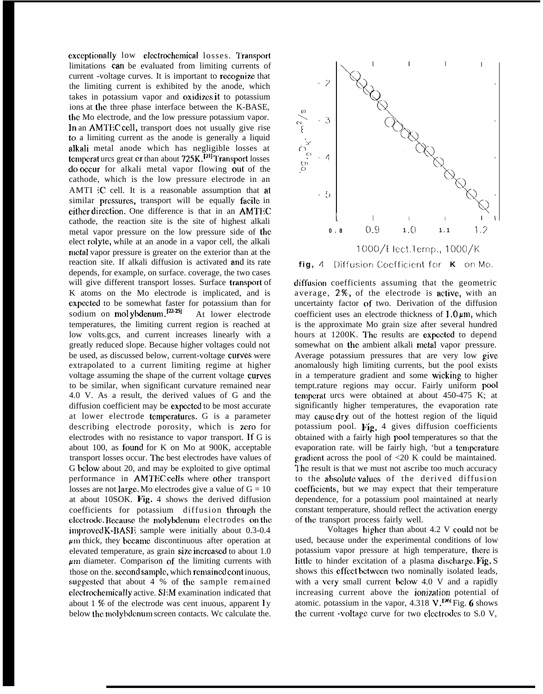exceptionally low electrochemical losses. Transport limitations can be evaluated from limiting currents of current -voltage curves. It is important to recognize that the limiting current is exhibited by the anode, which takes in potassium vapor and oxidizes it to potassium ions at the three phase interface between the K-BASE, the. Mo electrode, and the low pressure potassium vapor. In an AMTEC cell, transport does not usually give rise to a limiting current as the anode is generally a liquid alkali metal anode which has negligible losses at temperat urcs great er than about 725K.<sup>[21]</sup> Transport losses do occur for alkali metal vapor flowing out of the cathode, which is the low pressure electrode in an AMTI iC cell. It is a reasonable assumption that at similar pressures, transport will be equally facile in either direction. One difference is that in an AMTEC cathode, the reaction site is the site of highest alkali metal vapor pressure on the low pressure side of the elect rolytc, while at an anode in a vapor cell, the alkali metal vapor pressure is greater on the exterior than at the reaction site. If alkali diffusion is activated and its rate depends, for example, on surface. coverage, the two cases will give different transport losses. Surface transport of K atoms on the Mo electrode is implicated, and is cxpectcd to be somewhat faster for potassium than for sodium on mol ybdenum  $\left| \frac{12.25}{12.5} \right|$  At lower electrode temperatures, the limiting current region is reached at low volts.gcs, and current increases linearly with a greatly reduced slope. Because higher voltages could not be used, as discussed below, current-voltage curves were extrapolated to a current limiting regime at higher voltage assuming the shape of the current voltage curves to be similar, when significant curvature remained near 4.0 V. As a result, the derived values of G and the diffusion coefficient may be expected to be most accurate at lower electrode temperatures. G is a parameter describing electrode porosity, which is zero for electrodes with no resistance to vapor transport. ]f G is about 100, as found for K on Mo at  $900K$ , acceptable transport losses occur. I'hc best electrodes have values of G below about 20, and may be exploited to give optimal performance in AMTEC cells where other transport losses are not large. Mo electrodes give a value of  $G = 10$ at about 10SOK. Fig. 4 shows the derived diffusion coefficients for potassium diffusion through the electrode. Because the molybdenum electrodes on the  $improved K-BASE$  sample were initially about 0.3-0.4  $\mu$ m thick, they became discontinuous after operation at elevated temperature, as grain size increased to about 1.0  $\mu$ m diameter. Comparison of the limiting currents with those on the. second sample, which remained cont inuous, suggested that about  $4%$  of the sample remained electrochemically active. SEM examination indicated that about 1 % of the electrode was cent inuous, apparent  $\mathbf{I} \mathbf{y}$ below the molybdenum screen contacts. Wc calculate the.



diffusion coefficients assuming that the geometric average,  $2\%$ , of the electrode is active, with an uncertainty factor of two. Derivation of the diffusion coefficient uses an electrode thickness of  $1.0 \mu m$ , which is the approximate Mo grain size after several hundred hours at 1200K. The results are expected to depend somewhat on the ambient alkali metal vapor pressure. Average potassium pressures that are very low give anomalously high limiting currents, but the pool exists in a temperature gradient and some wicking to higher tempt.rature regions may occur. Fairly uniform pool temperat urcs were obtained at about 450-475 K; at significantly higher temperatures, the evaporation rate may cause dry out of the hottest region of the liquid potassium pool. Fig. 4 gives diffusion coefficients obtained with a fairly high pool temperatures so that the evaporation rate. will be fairly high, 'but a temperature gradient across the pool of  $\langle 20 \text{ K} \rangle$  could be maintained. The result is that we must not ascribe too much accuracy to the absolute values of the derived diffusion cocfficicnts, but we may expect that their temperature dependence, for a potassium pool maintained at nearly constant temperature, should reflect the activation energy of the transport process fairly well.

Voltages higher than about 4.2 V could not be used, because under the experimental conditions of low potassium vapor pressure at high temperature, there is little to hinder excitation of a plasma discharge. Fig. S shows this effect between two nominally isolated leads, with a very small current below 4.0 V and a rapidly increasing current above the *ionization* potential of atomic. potassium in the vapor, 4.318  $V$ .<sup>[26]</sup> Fig. 6 shows the current -voltage curve for two electrodes to  $S.0$  V,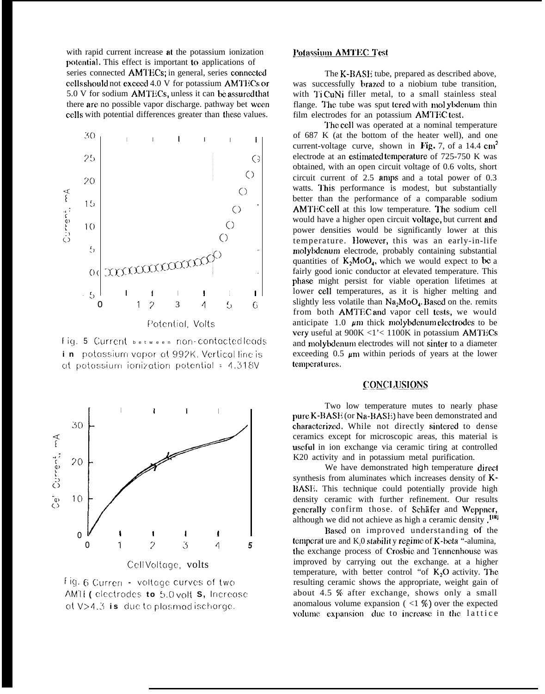with rapid current increase at the potassium ionization potential. This effect is important to applications of series connected AMTECs; in general, series connected cells should not exceed 4.0 V for potassium AMTECs or 5.0 V for sodium AMTECs, unless it can be assured that there are no possible vapor discharge. pathway bet ween cells with potential differences greater than these values.



Fig. 5 Current between non-contactedleads in potassium vapor at 992K. Vertical line is at potassium ionization potential = 4.318V



Fig. 6 Curren - voltage curves of two AMTE (electrodes to 5.0 volt S, Increase  $ot V > 4.3$  is due to plasmed ischarge.

#### **Potassium AMTEC Test**

The K-BASE tube, prepared as described above. was successfully brazed to a niobium tube transition, with TiCuNi filler metal, to a small stainless steal flange. The tube was sput tered with mol ybdenum thin film electrodes for an potassium AMTECtest.

The cell was operated at a nominal temperature of 687 K (at the bottom of the heater well), and one current-voltage curve, shown in Fig. 7, of a 14.4  $cm<sup>2</sup>$ electrode at an estimated temperature of 725-750 K was obtained, with an open circuit voltage of 0.6 volts, short circuit current of  $2.5$  amps and a total power of 0.3 watts. This performance is modest, but substantially better than the performance of a comparable sodium AMTEC cell at this low temperature. The sodium cell would have a higher open circuit voltage, but current and power densities would be significantly lower at this temperature. However, this was an early-in-life molybdenum electrode, probably containing substantial quantities of  $K_2MO_{4}$ , which we would expect to be a fairly good ionic conductor at elevated temperature. This phase might persist for viable operation lifetimes at lower cell temperatures, as it is higher melting and slightly less volatile than  $Na<sub>2</sub>MoO<sub>4</sub>$ . Based on the remits from both AMTEC and vapor cell tests, we would anticipate  $1.0 \mu m$  thick molybdenum electrodes to be very useful at 900K <1'< 1100K in potassium AMTECs and molybdenum electrodes will not sinter to a diameter exceeding 0.5  $\mu$ m within periods of years at the lower temperatures.

# **CONCLUSIONS**

Two low temperature mutes to nearly phase pure K-BASE (or Na-BASE) have been demonstrated and characterized. While not directly sintered to dense ceramics except for microscopic areas, this material is useful in ion exchange via ceramic tiring at controlled K20 activity and in potassium metal purification.

We have demonstrated high temperature direct synthesis from aluminates which increases density of K-BASE. This technique could potentially provide high density ceramic with further refinement. Our results generally confirm those. of Schäfer and Weppner, although we did not achieve as high a ceramic density.<sup>[18]</sup>

Based on improved understanding of the temperature and K,0 stability regime of K-beta "-alumina, the exchange process of Crosbie and Tennenhouse was improved by carrying out the exchange, at a higher temperature, with better control "of  $K_2O$  activity. The resulting ceramic shows the appropriate, weight gain of about 4.5 % after exchange, shows only a small anomalous volume expansion ( $\langle 1 \rangle$ ) over the expected volume expansion due to increase in the lattice